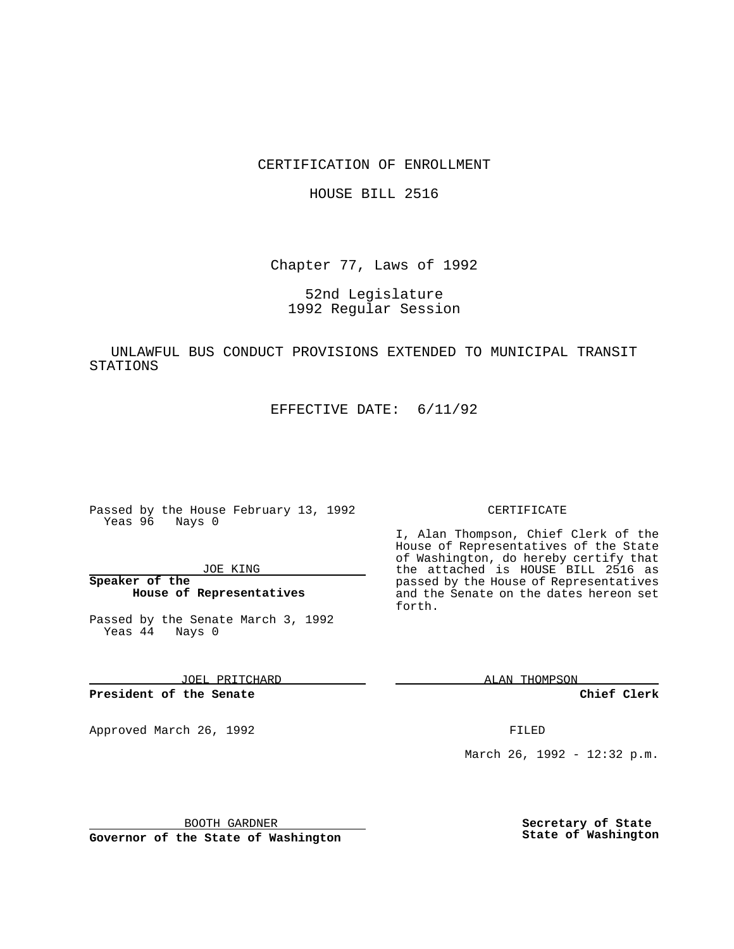CERTIFICATION OF ENROLLMENT

HOUSE BILL 2516

Chapter 77, Laws of 1992

52nd Legislature 1992 Regular Session

UNLAWFUL BUS CONDUCT PROVISIONS EXTENDED TO MUNICIPAL TRANSIT STATIONS

EFFECTIVE DATE: 6/11/92

Passed by the House February 13, 1992 Yeas 96 Nays 0

JOE KING

**Speaker of the House of Representatives**

Passed by the Senate March 3, 1992 Yeas 44 Nays 0

JOEL PRITCHARD

**President of the Senate**

Approved March 26, 1992 **FILED** 

## CERTIFICATE

I, Alan Thompson, Chief Clerk of the House of Representatives of the State of Washington, do hereby certify that the attached is HOUSE BILL 2516 as passed by the House of Representatives and the Senate on the dates hereon set forth.

ALAN THOMPSON

**Chief Clerk**

March 26, 1992 - 12:32 p.m.

BOOTH GARDNER

**Governor of the State of Washington**

**Secretary of State State of Washington**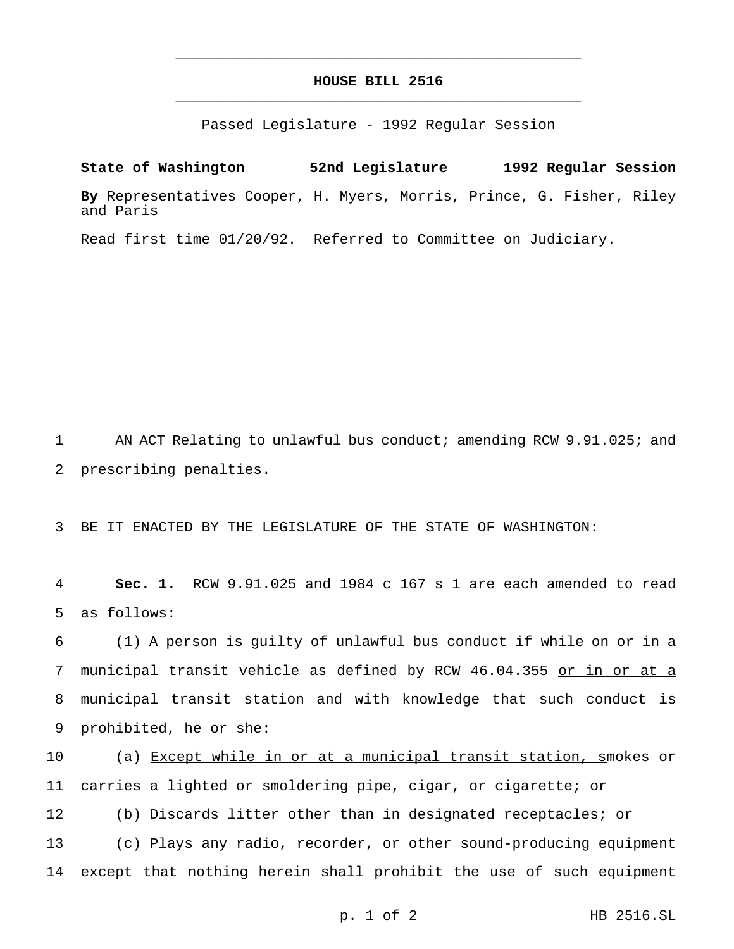## **HOUSE BILL 2516** \_\_\_\_\_\_\_\_\_\_\_\_\_\_\_\_\_\_\_\_\_\_\_\_\_\_\_\_\_\_\_\_\_\_\_\_\_\_\_\_\_\_\_\_\_\_\_

\_\_\_\_\_\_\_\_\_\_\_\_\_\_\_\_\_\_\_\_\_\_\_\_\_\_\_\_\_\_\_\_\_\_\_\_\_\_\_\_\_\_\_\_\_\_\_

Passed Legislature - 1992 Regular Session

**State of Washington 52nd Legislature 1992 Regular Session By** Representatives Cooper, H. Myers, Morris, Prince, G. Fisher, Riley and Paris

Read first time 01/20/92. Referred to Committee on Judiciary.

1 AN ACT Relating to unlawful bus conduct; amending RCW 9.91.025; and 2 prescribing penalties.

3 BE IT ENACTED BY THE LEGISLATURE OF THE STATE OF WASHINGTON:

4 **Sec. 1.** RCW 9.91.025 and 1984 c 167 s 1 are each amended to read 5 as follows:

 (1) A person is guilty of unlawful bus conduct if while on or in a 7 municipal transit vehicle as defined by RCW 46.04.355 or in or at a municipal transit station and with knowledge that such conduct is prohibited, he or she:

 (a) Except while in or at a municipal transit station, smokes or carries a lighted or smoldering pipe, cigar, or cigarette; or (b) Discards litter other than in designated receptacles; or (c) Plays any radio, recorder, or other sound-producing equipment except that nothing herein shall prohibit the use of such equipment